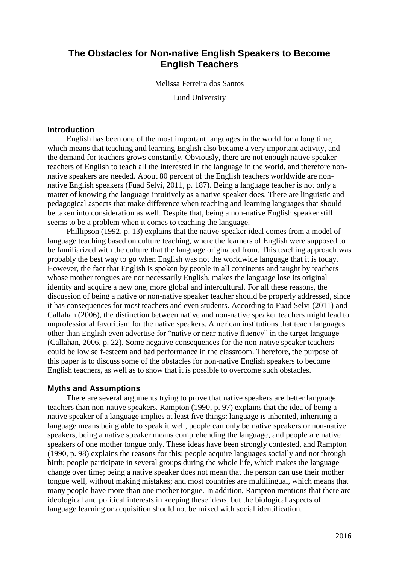# **The Obstacles for Non-native English Speakers to Become English Teachers**

Melissa Ferreira dos Santos

Lund University

# **Introduction**

English has been one of the most important languages in the world for a long time, which means that teaching and learning English also became a very important activity, and the demand for teachers grows constantly. Obviously, there are not enough native speaker teachers of English to teach all the interested in the language in the world, and therefore nonnative speakers are needed. About 80 percent of the English teachers worldwide are nonnative English speakers (Fuad Selvi, 2011, p. 187). Being a language teacher is not only a matter of knowing the language intuitively as a native speaker does. There are linguistic and pedagogical aspects that make difference when teaching and learning languages that should be taken into consideration as well. Despite that, being a non-native English speaker still seems to be a problem when it comes to teaching the language.

Phillipson (1992, p. 13) explains that the native-speaker ideal comes from a model of language teaching based on culture teaching, where the learners of English were supposed to be familiarized with the culture that the language originated from. This teaching approach was probably the best way to go when English was not the worldwide language that it is today. However, the fact that English is spoken by people in all continents and taught by teachers whose mother tongues are not necessarily English, makes the language lose its original identity and acquire a new one, more global and intercultural. For all these reasons, the discussion of being a native or non-native speaker teacher should be properly addressed, since it has consequences for most teachers and even students. According to Fuad Selvi (2011) and Callahan (2006), the distinction between native and non-native speaker teachers might lead to unprofessional favoritism for the native speakers. American institutions that teach languages other than English even advertise for "native or near-native fluency" in the target language (Callahan, 2006, p. 22). Some negative consequences for the non-native speaker teachers could be low self-esteem and bad performance in the classroom. Therefore, the purpose of this paper is to discuss some of the obstacles for non-native English speakers to become English teachers, as well as to show that it is possible to overcome such obstacles.

### **Myths and Assumptions**

There are several arguments trying to prove that native speakers are better language teachers than non-native speakers. Rampton (1990, p. 97) explains that the idea of being a native speaker of a language implies at least five things: language is inherited, inheriting a language means being able to speak it well, people can only be native speakers or non-native speakers, being a native speaker means comprehending the language, and people are native speakers of one mother tongue only. These ideas have been strongly contested, and Rampton (1990, p. 98) explains the reasons for this: people acquire languages socially and not through birth; people participate in several groups during the whole life, which makes the language change over time; being a native speaker does not mean that the person can use their mother tongue well, without making mistakes; and most countries are multilingual, which means that many people have more than one mother tongue. In addition, Rampton mentions that there are ideological and political interests in keeping these ideas, but the biological aspects of language learning or acquisition should not be mixed with social identification.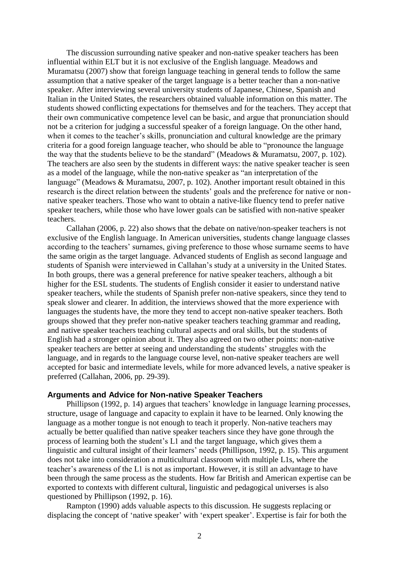The discussion surrounding native speaker and non-native speaker teachers has been influential within ELT but it is not exclusive of the English language. Meadows and Muramatsu (2007) show that foreign language teaching in general tends to follow the same assumption that a native speaker of the target language is a better teacher than a non-native speaker. After interviewing several university students of Japanese, Chinese, Spanish and Italian in the United States, the researchers obtained valuable information on this matter. The students showed conflicting expectations for themselves and for the teachers. They accept that their own communicative competence level can be basic, and argue that pronunciation should not be a criterion for judging a successful speaker of a foreign language. On the other hand, when it comes to the teacher's skills, pronunciation and cultural knowledge are the primary criteria for a good foreign language teacher, who should be able to "pronounce the language the way that the students believe to be the standard" (Meadows & Muramatsu, 2007, p. 102). The teachers are also seen by the students in different ways: the native speaker teacher is seen as a model of the language, while the non-native speaker as "an interpretation of the language" (Meadows & Muramatsu, 2007, p. 102). Another important result obtained in this research is the direct relation between the students' goals and the preference for native or nonnative speaker teachers. Those who want to obtain a native-like fluency tend to prefer native speaker teachers, while those who have lower goals can be satisfied with non-native speaker teachers.

Callahan (2006, p. 22) also shows that the debate on native/non-speaker teachers is not exclusive of the English language. In American universities, students change language classes according to the teachers' surnames, giving preference to those whose surname seems to have the same origin as the target language. Advanced students of English as second language and students of Spanish were interviewed in Callahan's study at a university in the United States. In both groups, there was a general preference for native speaker teachers, although a bit higher for the ESL students. The students of English consider it easier to understand native speaker teachers, while the students of Spanish prefer non-native speakers, since they tend to speak slower and clearer. In addition, the interviews showed that the more experience with languages the students have, the more they tend to accept non-native speaker teachers. Both groups showed that they prefer non-native speaker teachers teaching grammar and reading, and native speaker teachers teaching cultural aspects and oral skills, but the students of English had a stronger opinion about it. They also agreed on two other points: non-native speaker teachers are better at seeing and understanding the students' struggles with the language, and in regards to the language course level, non-native speaker teachers are well accepted for basic and intermediate levels, while for more advanced levels, a native speaker is preferred (Callahan, 2006, pp. 29-39).

### **Arguments and Advice for Non-native Speaker Teachers**

Phillipson (1992, p. 14) argues that teachers' knowledge in language learning processes, structure, usage of language and capacity to explain it have to be learned. Only knowing the language as a mother tongue is not enough to teach it properly. Non-native teachers may actually be better qualified than native speaker teachers since they have gone through the process of learning both the student's L1 and the target language, which gives them a linguistic and cultural insight of their learners' needs (Phillipson, 1992, p. 15). This argument does not take into consideration a multicultural classroom with multiple L1s, where the teacher's awareness of the L1 is not as important. However, it is still an advantage to have been through the same process as the students. How far British and American expertise can be exported to contexts with different cultural, linguistic and pedagogical universes is also questioned by Phillipson (1992, p. 16).

Rampton (1990) adds valuable aspects to this discussion. He suggests replacing or displacing the concept of 'native speaker' with 'expert speaker'. Expertise is fair for both the